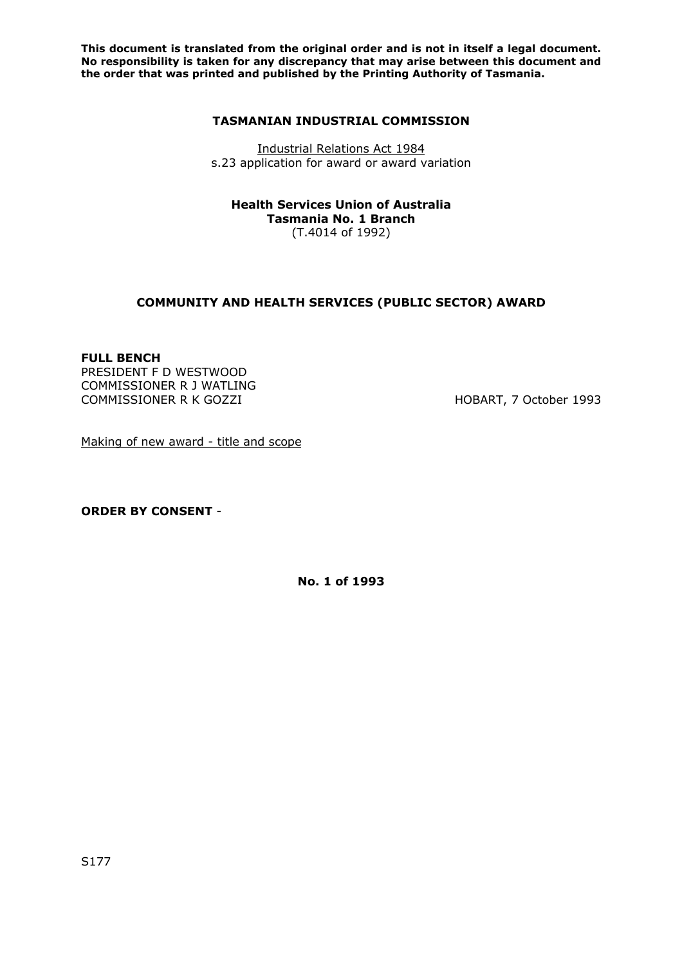**This document is translated from the original order and is not in itself a legal document. No responsibility is taken for any discrepancy that may arise between this document and the order that was printed and published by the Printing Authority of Tasmania.** 

#### **TASMANIAN INDUSTRIAL COMMISSION**

Industrial Relations Act 1984 s.23 application for award or award variation

**Health Services Union of Australia Tasmania No. 1 Branch**  (T.4014 of 1992)

### **COMMUNITY AND HEALTH SERVICES (PUBLIC SECTOR) AWARD**

### **FULL BENCH**

PRESIDENT F D WESTWOOD COMMISSIONER R J WATLING COMMISSIONER R K GOZZI HOBART, 7 October 1993

Making of new award - title and scope

**ORDER BY CONSENT** -

**No. 1 of 1993**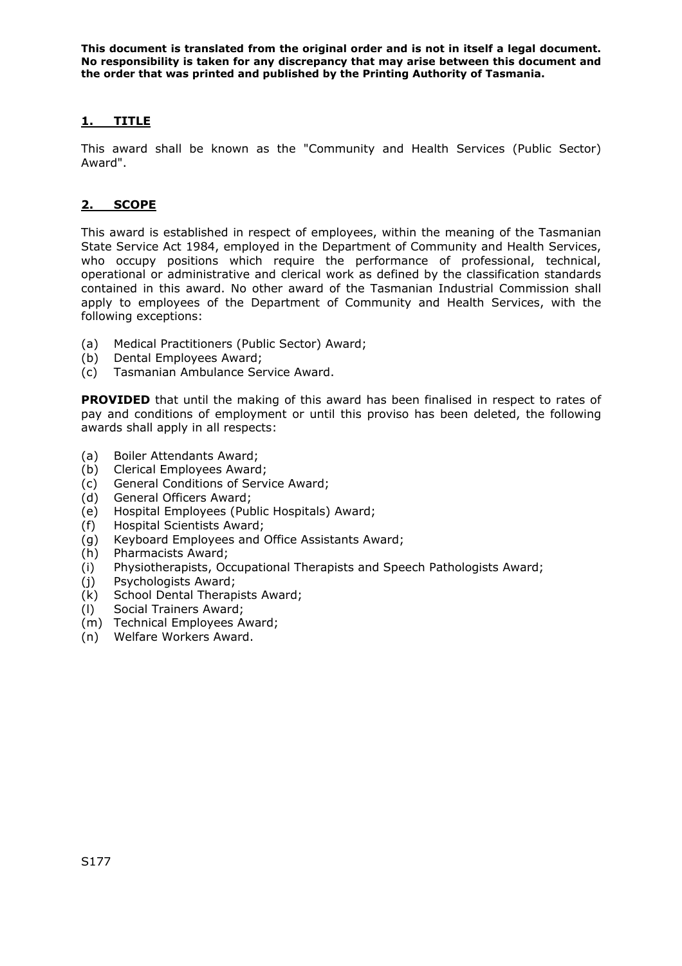**This document is translated from the original order and is not in itself a legal document. No responsibility is taken for any discrepancy that may arise between this document and the order that was printed and published by the Printing Authority of Tasmania.** 

# **1. TITLE**

This award shall be known as the "Community and Health Services (Public Sector) Award".

# **2. SCOPE**

This award is established in respect of employees, within the meaning of the Tasmanian State Service Act 1984, employed in the Department of Community and Health Services, who occupy positions which require the performance of professional, technical, operational or administrative and clerical work as defined by the classification standards contained in this award. No other award of the Tasmanian Industrial Commission shall apply to employees of the Department of Community and Health Services, with the following exceptions:

- (a) Medical Practitioners (Public Sector) Award;
- (b) Dental Employees Award;
- (c) Tasmanian Ambulance Service Award.

**PROVIDED** that until the making of this award has been finalised in respect to rates of pay and conditions of employment or until this proviso has been deleted, the following awards shall apply in all respects:

- (a) Boiler Attendants Award;
- (b) Clerical Employees Award;
- (c) General Conditions of Service Award;
- (d) General Officers Award;
- (e) Hospital Employees (Public Hospitals) Award;
- (f) Hospital Scientists Award;
- (g) Keyboard Employees and Office Assistants Award;
- (h) Pharmacists Award;
- (i) Physiotherapists, Occupational Therapists and Speech Pathologists Award;
- (j) Psychologists Award;
- (k) School Dental Therapists Award;
- (l) Social Trainers Award;
- (m) Technical Employees Award;
- (n) Welfare Workers Award.